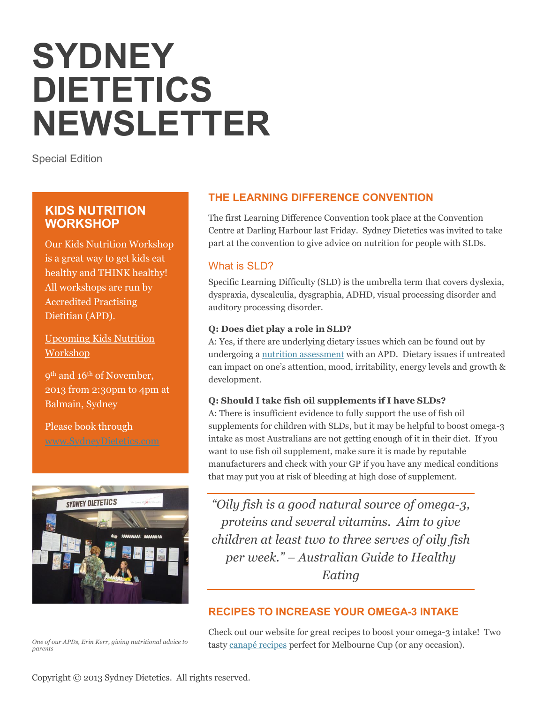# **SYDNEY DIETETICS NEWSLETTER**

Special Edition

# **KIDS NUTRITION WORKSHOP**

Our Kids Nutrition Workshop is a great way to get kids eat healthy and THINK healthy! All workshops are run by Accredited Practising Dietitian (APD).

Upcoming Kids Nutrition Workshop

9th and 16th of November, 2013 from 2:30pm to 4pm at Balmain, Sydney

Please book through



*One of our APDs, Erin Kerr, giving nutritional advice to parents*

# **THE LEARNING DIFFERENCE CONVENTION**

The first Learning Difference Convention took place at the Convention Centre at Darling Harbour last Friday. Sydney Dietetics was invited to take part at the convention to give advice on nutrition for people with SLDs.

## What is SLD?

Specific Learning Difficulty (SLD) is the umbrella term that covers dyslexia, dyspraxia, dyscalculia, dysgraphia, ADHD, visual processing disorder and auditory processing disorder.

#### **Q: Does diet play a role in SLD?**

A: Yes, if there are underlying dietary issues which can be found out by undergoing a [nutrition assessment](http://www.sydneydietetics.com/services) with an APD. Dietary issues if untreated can impact on one's attention, mood, irritability, energy levels and growth & development.

#### **Q: Should I take fish oil supplements if I have SLDs?**

A: There is insufficient evidence to fully support the use of fish oil supplements for children with SLDs, but it may be helpful to boost omega-3 intake as most Australians are not getting enough of it in their diet. If you want to use fish oil supplement, make sure it is made by reputable manufacturers and check with your GP if you have any medical conditions that may put you at risk of bleeding at high dose of supplement.

*"Oily fish is a good natural source of omega-3, proteins and several vitamins. Aim to give children at least two to three serves of oily fish per week." – Australian Guide to Healthy Eating*

## **RECIPES TO INCREASE YOUR OMEGA-3 INTAKE**

Check out our website for great recipes to boost your omega-3 intake! Two tasty [canapé](http://www.sydneydietetics.com/recipes) recipes perfect for Melbourne Cup (or any occasion).